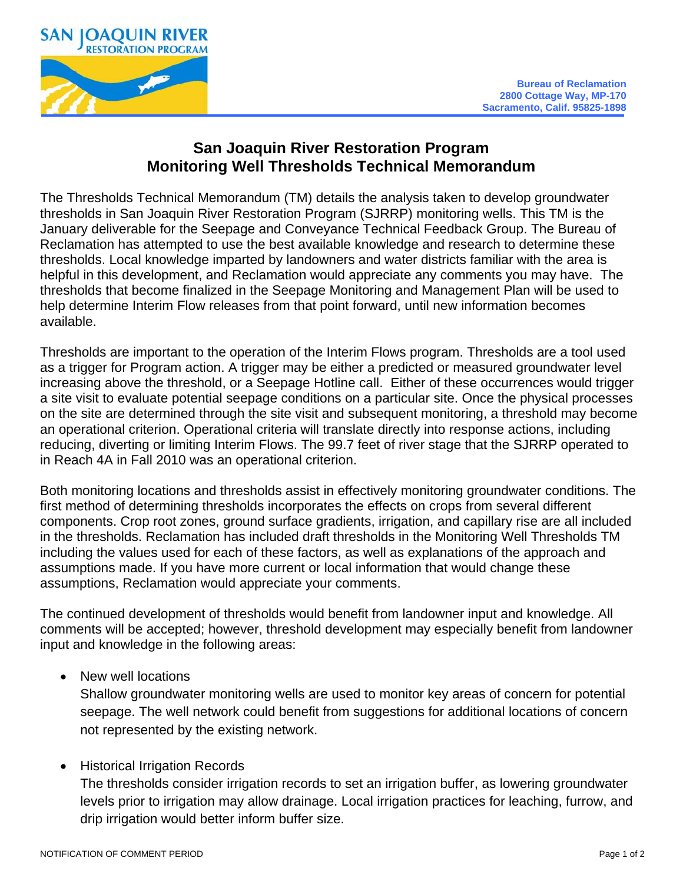

## **San Joaquin River Restoration Program Monitoring Well Thresholds Technical Memorandum**

The Thresholds Technical Memorandum (TM) details the analysis taken to develop groundwater thresholds in San Joaquin River Restoration Program (SJRRP) monitoring wells. This TM is the January deliverable for the Seepage and Conveyance Technical Feedback Group. The Bureau of Reclamation has attempted to use the best available knowledge and research to determine these thresholds. Local knowledge imparted by landowners and water districts familiar with the area is helpful in this development, and Reclamation would appreciate any comments you may have. The thresholds that become finalized in the Seepage Monitoring and Management Plan will be used to help determine Interim Flow releases from that point forward, until new information becomes available.

Thresholds are important to the operation of the Interim Flows program. Thresholds are a tool used as a trigger for Program action. A trigger may be either a predicted or measured groundwater level increasing above the threshold, or a Seepage Hotline call. Either of these occurrences would trigger a site visit to evaluate potential seepage conditions on a particular site. Once the physical processes on the site are determined through the site visit and subsequent monitoring, a threshold may become an operational criterion. Operational criteria will translate directly into response actions, including reducing, diverting or limiting Interim Flows. The 99.7 feet of river stage that the SJRRP operated to in Reach 4A in Fall 2010 was an operational criterion.

Both monitoring locations and thresholds assist in effectively monitoring groundwater conditions. The first method of determining thresholds incorporates the effects on crops from several different components. Crop root zones, ground surface gradients, irrigation, and capillary rise are all included in the thresholds. Reclamation has included draft thresholds in the Monitoring Well Thresholds TM including the values used for each of these factors, as well as explanations of the approach and assumptions made. If you have more current or local information that would change these assumptions, Reclamation would appreciate your comments.

The continued development of thresholds would benefit from landowner input and knowledge. All comments will be accepted; however, threshold development may especially benefit from landowner input and knowledge in the following areas:

• New well locations

Shallow groundwater monitoring wells are used to monitor key areas of concern for potential seepage. The well network could benefit from suggestions for additional locations of concern not represented by the existing network.

## **Historical Irrigation Records**

The thresholds consider irrigation records to set an irrigation buffer, as lowering groundwater levels prior to irrigation may allow drainage. Local irrigation practices for leaching, furrow, and drip irrigation would better inform buffer size.